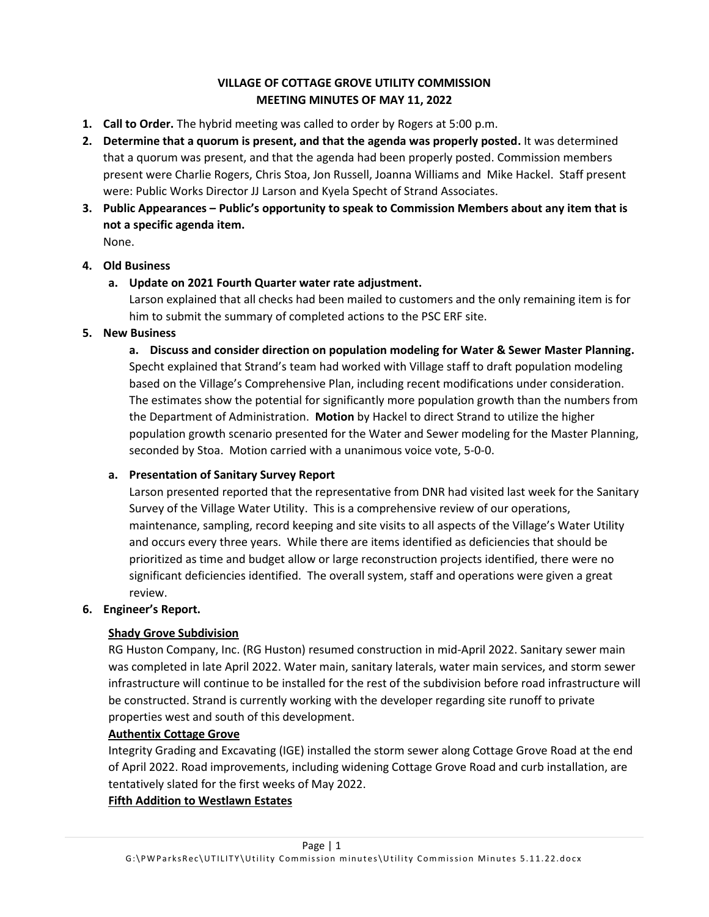# **VILLAGE OF COTTAGE GROVE UTILITY COMMISSION MEETING MINUTES OF MAY 11, 2022**

- **1. Call to Order.** The hybrid meeting was called to order by Rogers at 5:00 p.m.
- **2. Determine that a quorum is present, and that the agenda was properly posted.** It was determined that a quorum was present, and that the agenda had been properly posted. Commission members present were Charlie Rogers, Chris Stoa, Jon Russell, Joanna Williams and Mike Hackel. Staff present were: Public Works Director JJ Larson and Kyela Specht of Strand Associates.
- **3. Public Appearances – Public's opportunity to speak to Commission Members about any item that is not a specific agenda item.**

None.

#### **4. Old Business**

### **a. Update on 2021 Fourth Quarter water rate adjustment.**

Larson explained that all checks had been mailed to customers and the only remaining item is for him to submit the summary of completed actions to the PSC ERF site.

#### **5. New Business**

**a. Discuss and consider direction on population modeling for Water & Sewer Master Planning.** Specht explained that Strand's team had worked with Village staff to draft population modeling based on the Village's Comprehensive Plan, including recent modifications under consideration. The estimates show the potential for significantly more population growth than the numbers from the Department of Administration. **Motion** by Hackel to direct Strand to utilize the higher population growth scenario presented for the Water and Sewer modeling for the Master Planning, seconded by Stoa. Motion carried with a unanimous voice vote, 5-0-0.

### **a. Presentation of Sanitary Survey Report**

Larson presented reported that the representative from DNR had visited last week for the Sanitary Survey of the Village Water Utility. This is a comprehensive review of our operations, maintenance, sampling, record keeping and site visits to all aspects of the Village's Water Utility and occurs every three years. While there are items identified as deficiencies that should be prioritized as time and budget allow or large reconstruction projects identified, there were no significant deficiencies identified. The overall system, staff and operations were given a great review.

#### **6. Engineer's Report.**

### **Shady Grove Subdivision**

RG Huston Company, Inc. (RG Huston) resumed construction in mid-April 2022. Sanitary sewer main was completed in late April 2022. Water main, sanitary laterals, water main services, and storm sewer infrastructure will continue to be installed for the rest of the subdivision before road infrastructure will be constructed. Strand is currently working with the developer regarding site runoff to private properties west and south of this development.

### **Authentix Cottage Grove**

Integrity Grading and Excavating (IGE) installed the storm sewer along Cottage Grove Road at the end of April 2022. Road improvements, including widening Cottage Grove Road and curb installation, are tentatively slated for the first weeks of May 2022.

### **Fifth Addition to Westlawn Estates**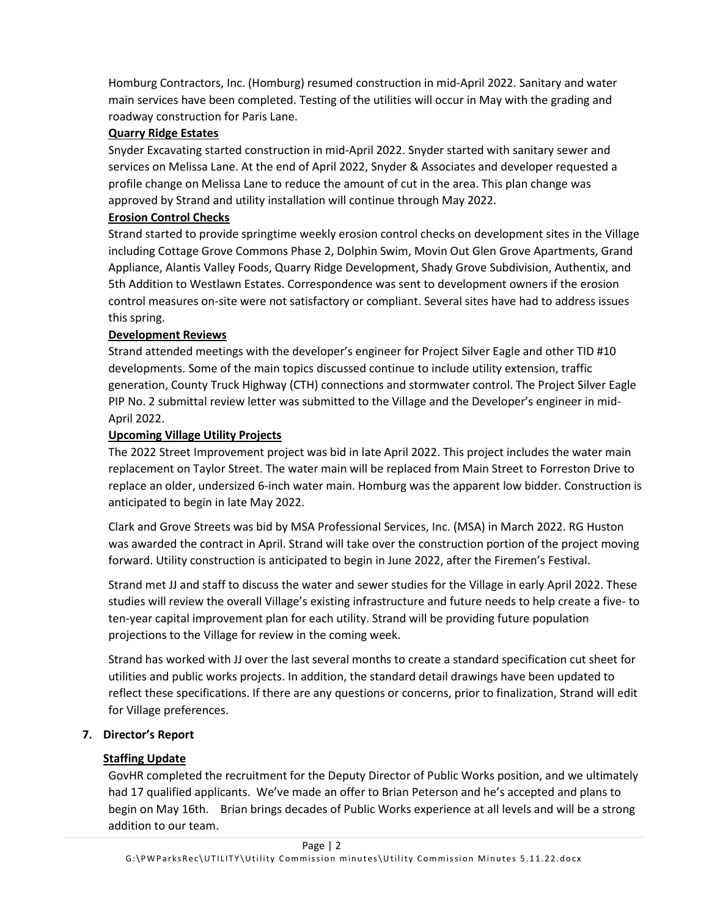Homburg Contractors, Inc. (Homburg) resumed construction in mid-April 2022. Sanitary and water main services have been completed. Testing of the utilities will occur in May with the grading and roadway construction for Paris Lane.

# **Quarry Ridge Estates**

Snyder Excavating started construction in mid-April 2022. Snyder started with sanitary sewer and services on Melissa Lane. At the end of April 2022, Snyder & Associates and developer requested a profile change on Melissa Lane to reduce the amount of cut in the area. This plan change was approved by Strand and utility installation will continue through May 2022.

### **Erosion Control Checks**

Strand started to provide springtime weekly erosion control checks on development sites in the Village including Cottage Grove Commons Phase 2, Dolphin Swim, Movin Out Glen Grove Apartments, Grand Appliance, Alantis Valley Foods, Quarry Ridge Development, Shady Grove Subdivision, Authentix, and 5th Addition to Westlawn Estates. Correspondence was sent to development owners if the erosion control measures on-site were not satisfactory or compliant. Several sites have had to address issues this spring.

### **Development Reviews**

Strand attended meetings with the developer's engineer for Project Silver Eagle and other TID #10 developments. Some of the main topics discussed continue to include utility extension, traffic generation, County Truck Highway (CTH) connections and stormwater control. The Project Silver Eagle PIP No. 2 submittal review letter was submitted to the Village and the Developer's engineer in mid-April 2022.

### **Upcoming Village Utility Projects**

The 2022 Street Improvement project was bid in late April 2022. This project includes the water main replacement on Taylor Street. The water main will be replaced from Main Street to Forreston Drive to replace an older, undersized 6-inch water main. Homburg was the apparent low bidder. Construction is anticipated to begin in late May 2022.

Clark and Grove Streets was bid by MSA Professional Services, Inc. (MSA) in March 2022. RG Huston was awarded the contract in April. Strand will take over the construction portion of the project moving forward. Utility construction is anticipated to begin in June 2022, after the Firemen's Festival.

Strand met JJ and staff to discuss the water and sewer studies for the Village in early April 2022. These studies will review the overall Village's existing infrastructure and future needs to help create a five- to ten-year capital improvement plan for each utility. Strand will be providing future population projections to the Village for review in the coming week.

Strand has worked with JJ over the last several months to create a standard specification cut sheet for utilities and public works projects. In addition, the standard detail drawings have been updated to reflect these specifications. If there are any questions or concerns, prior to finalization, Strand will edit for Village preferences.

### **7. Director's Report**

### **Staffing Update**

GovHR completed the recruitment for the Deputy Director of Public Works position, and we ultimately had 17 qualified applicants. We've made an offer to Brian Peterson and he's accepted and plans to begin on May 16th. Brian brings decades of Public Works experience at all levels and will be a strong addition to our team.